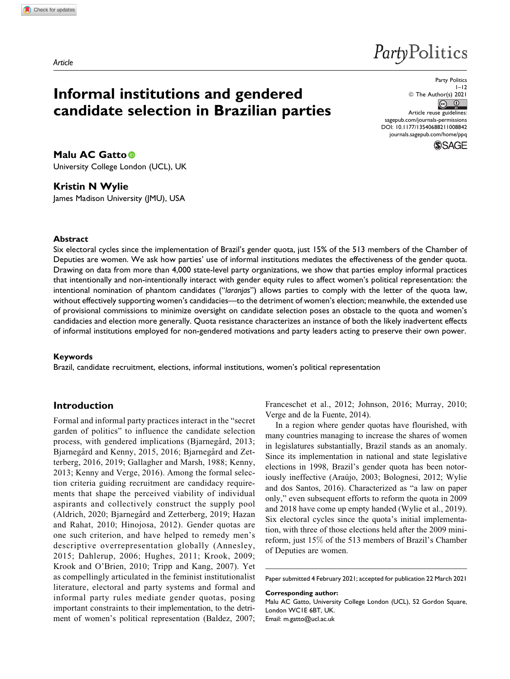# PartyPolitics

# **Informal institutions and gendered candidate selection in Brazilian parties**

Party Politics  $1 - 12$  $\circ$  The Author(s) 2021 Article reuse guidelines: [sagepub.com/journals-permissions](https://sagepub.com/journals-permissions) [DOI: 10.1177/13540688211008842](https://doi.org/10.1177/13540688211008842) [journals.sagepub.com/home/ppq](http://journals.sagepub.com/home/ppq)



**Malu AC Gatto** University College London (UCL), UK

# **Kristin N Wylie**

James Madison University (JMU), USA

# **Abstract**

Six electoral cycles since the implementation of Brazil's gender quota, just 15% of the 513 members of the Chamber of Deputies are women. We ask how parties' use of informal institutions mediates the effectiveness of the gender quota. Drawing on data from more than 4,000 state-level party organizations, we show that parties employ informal practices that intentionally and non-intentionally interact with gender equity rules to affect women's political representation: the intentional nomination of phantom candidates ("*laranjas*") allows parties to comply with the letter of the quota law, without effectively supporting women's candidacies—to the detriment of women's election; meanwhile, the extended use of provisional commissions to minimize oversight on candidate selection poses an obstacle to the quota and women's candidacies and election more generally. Quota resistance characterizes an instance of both the likely inadvertent effects of informal institutions employed for non-gendered motivations and party leaders acting to preserve their own power.

### **Keywords**

Brazil, candidate recruitment, elections, informal institutions, women's political representation

# **Introduction**

Formal and informal party practices interact in the "secret garden of politics" to influence the candidate selection process, with gendered implications (Bjarnegård, 2013; Bjarnegård and Kenny, 2015, 2016; Bjarnegård and Zetterberg, 2016, 2019; Gallagher and Marsh, 1988; Kenny, 2013; Kenny and Verge, 2016). Among the formal selection criteria guiding recruitment are candidacy requirements that shape the perceived viability of individual aspirants and collectively construct the supply pool (Aldrich, 2020; Bjarnegård and Zetterberg, 2019; Hazan and Rahat, 2010; Hinojosa, 2012). Gender quotas are one such criterion, and have helped to remedy men's descriptive overrepresentation globally (Annesley, 2015; Dahlerup, 2006; Hughes, 2011; Krook, 2009; Krook and O'Brien, 2010; Tripp and Kang, 2007). Yet as compellingly articulated in the feminist institutionalist literature, electoral and party systems and formal and informal party rules mediate gender quotas, posing important constraints to their implementation, to the detriment of women's political representation (Baldez, 2007; Franceschet et al., 2012; Johnson, 2016; Murray, 2010; Verge and de la Fuente, 2014).

In a region where gender quotas have flourished, with many countries managing to increase the shares of women in legislatures substantially, Brazil stands as an anomaly. Since its implementation in national and state legislative elections in 1998, Brazil's gender quota has been notoriously ineffective (Araújo, 2003; Bolognesi, 2012; Wylie and dos Santos, 2016). Characterized as "a law on paper only," even subsequent efforts to reform the quota in 2009 and 2018 have come up empty handed (Wylie et al., 2019). Six electoral cycles since the quota's initial implementation, with three of those elections held after the 2009 minireform, just 15% of the 513 members of Brazil's Chamber of Deputies are women.

Paper submitted 4 February 2021; accepted for publication 22 March 2021

**Corresponding author:** Malu AC Gatto, University College London (UCL), 52 Gordon Square, London WC1E 6BT, UK. Email: [m.gatto@ucl.ac.uk](mailto:m.gatto@ucl.ac.uk)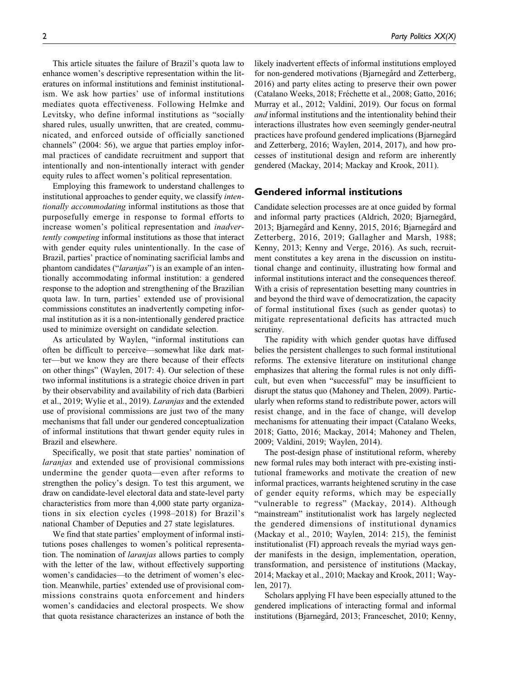This article situates the failure of Brazil's quota law to enhance women's descriptive representation within the literatures on informal institutions and feminist institutionalism. We ask how parties' use of informal institutions mediates quota effectiveness. Following Helmke and Levitsky, who define informal institutions as "socially shared rules, usually unwritten, that are created, communicated, and enforced outside of officially sanctioned channels" (2004: 56), we argue that parties employ informal practices of candidate recruitment and support that intentionally and non-intentionally interact with gender equity rules to affect women's political representation.

Employing this framework to understand challenges to institutional approaches to gender equity, we classify intentionally accommodating informal institutions as those that purposefully emerge in response to formal efforts to increase women's political representation and inadvertently competing informal institutions as those that interact with gender equity rules unintentionally. In the case of Brazil, parties' practice of nominating sacrificial lambs and phantom candidates ("*laranjas*") is an example of an intentionally accommodating informal institution: a gendered response to the adoption and strengthening of the Brazilian quota law. In turn, parties' extended use of provisional commissions constitutes an inadvertently competing informal institution as it is a non-intentionally gendered practice used to minimize oversight on candidate selection.

As articulated by Waylen, "informal institutions can often be difficult to perceive—somewhat like dark matter—but we know they are there because of their effects on other things" (Waylen, 2017: 4). Our selection of these two informal institutions is a strategic choice driven in part by their observability and availability of rich data (Barbieri et al., 2019; Wylie et al., 2019). Laranjas and the extended use of provisional commissions are just two of the many mechanisms that fall under our gendered conceptualization of informal institutions that thwart gender equity rules in Brazil and elsewhere.

Specifically, we posit that state parties' nomination of laranjas and extended use of provisional commissions undermine the gender quota—even after reforms to strengthen the policy's design. To test this argument, we draw on candidate-level electoral data and state-level party characteristics from more than 4,000 state party organizations in six election cycles (1998–2018) for Brazil's national Chamber of Deputies and 27 state legislatures.

We find that state parties' employment of informal institutions poses challenges to women's political representation. The nomination of laranjas allows parties to comply with the letter of the law, without effectively supporting women's candidacies—to the detriment of women's election. Meanwhile, parties' extended use of provisional commissions constrains quota enforcement and hinders women's candidacies and electoral prospects. We show that quota resistance characterizes an instance of both the likely inadvertent effects of informal institutions employed for non-gendered motivations (Bjarnegård and Zetterberg, 2016) and party elites acting to preserve their own power (Catalano Weeks, 2018; Fréchette et al., 2008; Gatto, 2016; Murray et al., 2012; Valdini, 2019). Our focus on formal and informal institutions and the intentionality behind their interactions illustrates how even seemingly gender-neutral practices have profound gendered implications (Bjarnegård and Zetterberg, 2016; Waylen, 2014, 2017), and how processes of institutional design and reform are inherently gendered (Mackay, 2014; Mackay and Krook, 2011).

# **Gendered informal institutions**

Candidate selection processes are at once guided by formal and informal party practices (Aldrich, 2020; Bjarnegård, 2013; Bjarnegård and Kenny, 2015, 2016; Bjarnegård and Zetterberg, 2016, 2019; Gallagher and Marsh, 1988; Kenny, 2013; Kenny and Verge, 2016). As such, recruitment constitutes a key arena in the discussion on institutional change and continuity, illustrating how formal and informal institutions interact and the consequences thereof. With a crisis of representation besetting many countries in and beyond the third wave of democratization, the capacity of formal institutional fixes (such as gender quotas) to mitigate representational deficits has attracted much scrutiny.

The rapidity with which gender quotas have diffused belies the persistent challenges to such formal institutional reforms. The extensive literature on institutional change emphasizes that altering the formal rules is not only difficult, but even when "successful" may be insufficient to disrupt the status quo (Mahoney and Thelen, 2009). Particularly when reforms stand to redistribute power, actors will resist change, and in the face of change, will develop mechanisms for attenuating their impact (Catalano Weeks, 2018; Gatto, 2016; Mackay, 2014; Mahoney and Thelen, 2009; Valdini, 2019; Waylen, 2014).

The post-design phase of institutional reform, whereby new formal rules may both interact with pre-existing institutional frameworks and motivate the creation of new informal practices, warrants heightened scrutiny in the case of gender equity reforms, which may be especially "vulnerable to regress" (Mackay, 2014). Although "mainstream" institutionalist work has largely neglected the gendered dimensions of institutional dynamics (Mackay et al., 2010; Waylen, 2014: 215), the feminist institutionalist (FI) approach reveals the myriad ways gender manifests in the design, implementation, operation, transformation, and persistence of institutions (Mackay, 2014; Mackay et al., 2010; Mackay and Krook, 2011; Waylen, 2017).

Scholars applying FI have been especially attuned to the gendered implications of interacting formal and informal institutions (Bjarnegård, 2013; Franceschet, 2010; Kenny,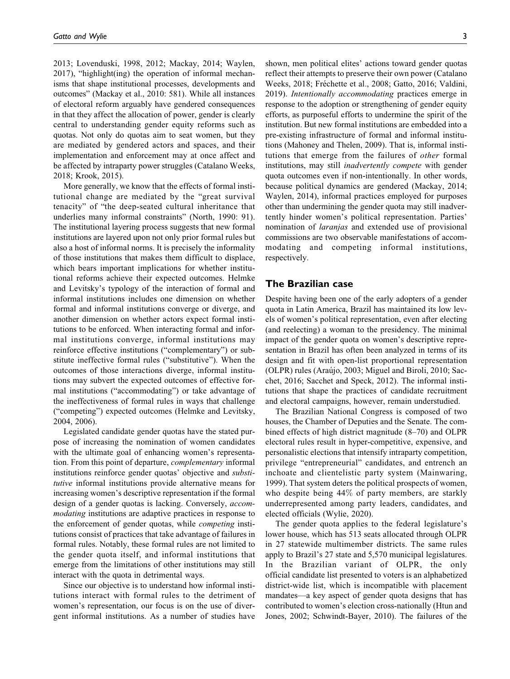2013; Lovenduski, 1998, 2012; Mackay, 2014; Waylen, 2017), "highlight(ing) the operation of informal mechanisms that shape institutional processes, developments and outcomes" (Mackay et al., 2010: 581). While all instances of electoral reform arguably have gendered consequences in that they affect the allocation of power, gender is clearly central to understanding gender equity reforms such as quotas. Not only do quotas aim to seat women, but they are mediated by gendered actors and spaces, and their implementation and enforcement may at once affect and be affected by intraparty power struggles (Catalano Weeks, 2018; Krook, 2015).

More generally, we know that the effects of formal institutional change are mediated by the "great survival tenacity" of "the deep-seated cultural inheritance that underlies many informal constraints" (North, 1990: 91). The institutional layering process suggests that new formal institutions are layered upon not only prior formal rules but also a host of informal norms. It is precisely the informality of those institutions that makes them difficult to displace, which bears important implications for whether institutional reforms achieve their expected outcomes. Helmke and Levitsky's typology of the interaction of formal and informal institutions includes one dimension on whether formal and informal institutions converge or diverge, and another dimension on whether actors expect formal institutions to be enforced. When interacting formal and informal institutions converge, informal institutions may reinforce effective institutions ("complementary") or substitute ineffective formal rules ("substitutive"). When the outcomes of those interactions diverge, informal institutions may subvert the expected outcomes of effective formal institutions ("accommodating") or take advantage of the ineffectiveness of formal rules in ways that challenge ("competing") expected outcomes (Helmke and Levitsky, 2004, 2006).

Legislated candidate gender quotas have the stated purpose of increasing the nomination of women candidates with the ultimate goal of enhancing women's representation. From this point of departure, complementary informal institutions reinforce gender quotas' objective and substitutive informal institutions provide alternative means for increasing women's descriptive representation if the formal design of a gender quotas is lacking. Conversely, accommodating institutions are adaptive practices in response to the enforcement of gender quotas, while competing institutions consist of practices that take advantage of failures in formal rules. Notably, these formal rules are not limited to the gender quota itself, and informal institutions that emerge from the limitations of other institutions may still interact with the quota in detrimental ways.

Since our objective is to understand how informal institutions interact with formal rules to the detriment of women's representation, our focus is on the use of divergent informal institutions. As a number of studies have

shown, men political elites' actions toward gender quotas reflect their attempts to preserve their own power (Catalano Weeks, 2018; Fréchette et al., 2008; Gatto, 2016; Valdini, 2019). Intentionally accommodating practices emerge in response to the adoption or strengthening of gender equity efforts, as purposeful efforts to undermine the spirit of the institution. But new formal institutions are embedded into a pre-existing infrastructure of formal and informal institutions (Mahoney and Thelen, 2009). That is, informal institutions that emerge from the failures of other formal institutions, may still inadvertently compete with gender quota outcomes even if non-intentionally. In other words, because political dynamics are gendered (Mackay, 2014; Waylen, 2014), informal practices employed for purposes other than undermining the gender quota may still inadvertently hinder women's political representation. Parties' nomination of laranjas and extended use of provisional commissions are two observable manifestations of accommodating and competing informal institutions, respectively.

# **The Brazilian case**

Despite having been one of the early adopters of a gender quota in Latin America, Brazil has maintained its low levels of women's political representation, even after electing (and reelecting) a woman to the presidency. The minimal impact of the gender quota on women's descriptive representation in Brazil has often been analyzed in terms of its design and fit with open-list proportional representation (OLPR) rules (Araujo, 2003; Miguel and Biroli, 2010; Sac- ´ chet, 2016; Sacchet and Speck, 2012). The informal institutions that shape the practices of candidate recruitment and electoral campaigns, however, remain understudied.

The Brazilian National Congress is composed of two houses, the Chamber of Deputies and the Senate. The combined effects of high district magnitude (8–70) and OLPR electoral rules result in hyper-competitive, expensive, and personalistic elections that intensify intraparty competition, privilege "entrepreneurial" candidates, and entrench an inchoate and clientelistic party system (Mainwaring, 1999). That system deters the political prospects of women, who despite being 44% of party members, are starkly underrepresented among party leaders, candidates, and elected officials (Wylie, 2020).

The gender quota applies to the federal legislature's lower house, which has 513 seats allocated through OLPR in 27 statewide multimember districts. The same rules apply to Brazil's 27 state and 5,570 municipal legislatures. In the Brazilian variant of OLPR, the only official candidate list presented to voters is an alphabetized district-wide list, which is incompatible with placement mandates—a key aspect of gender quota designs that has contributed to women's election cross-nationally (Htun and Jones, 2002; Schwindt-Bayer, 2010). The failures of the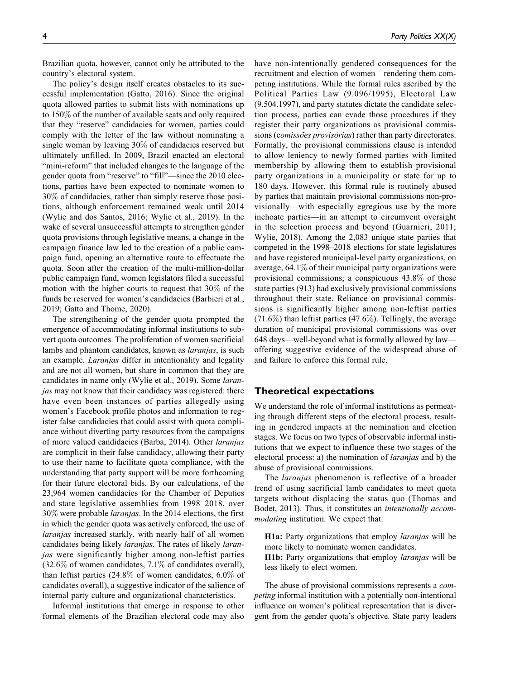Brazilian quota, however, cannot only be attributed to the country's electoral system.

The policy's design itself creates obstacles to its successful implementation (Gatto, 2016). Since the original quota allowed parties to submit lists with nominations up to 150% of the number of available seats and only required that they "reserve" candidacies for women, parties could comply with the letter of the law without nominating a single woman by leaving 30% of candidacies reserved but ultimately unfilled. In 2009, Brazil enacted an electoral "mini-reform" that included changes to the language of the gender quota from "reserve" to "fill"—since the 2010 elections, parties have been expected to nominate women to 30% of candidacies, rather than simply reserve those positions, although enforcement remained weak until 2014 (Wylie and dos Santos, 2016; Wylie et al., 2019). In the wake of several unsuccessful attempts to strengthen gender quota provisions through legislative means, a change in the campaign finance law led to the creation of a public campaign fund, opening an alternative route to effectuate the quota. Soon after the creation of the multi-million-dollar public campaign fund, women legislators filed a successful motion with the higher courts to request that 30% of the funds be reserved for women's candidacies (Barbieri et al., 2019; Gatto and Thome, 2020).

The strengthening of the gender quota prompted the emergence of accommodating informal institutions to subvert quota outcomes. The proliferation of women sacrificial lambs and phantom candidates, known as *laranjas*, is such an example. Laranjas differ in intentionality and legality and are not all women, but share in common that they are candidates in name only (Wylie et al., 2019). Some laranjas may not know that their candidacy was registered: there have even been instances of parties allegedly using women's Facebook profile photos and information to register false candidacies that could assist with quota compliance without diverting party resources from the campaigns of more valued candidacies (Barba, 2014). Other laranjas are complicit in their false candidacy, allowing their party to use their name to facilitate quota compliance, with the understanding that party support will be more forthcoming for their future electoral bids. By our calculations, of the 23,964 women candidacies for the Chamber of Deputies and state legislative assemblies from 1998–2018, over 30% were probable laranjas. In the 2014 elections, the first in which the gender quota was actively enforced, the use of laranjas increased starkly, with nearly half of all women candidates being likely laranjas. The rates of likely laranjas were significantly higher among non-leftist parties (32.6% of women candidates, 7.1% of candidates overall), than leftist parties (24.8% of women candidates, 6.0% of candidates overall), a suggestive indicator of the salience of internal party culture and organizational characteristics.

Informal institutions that emerge in response to other formal elements of the Brazilian electoral code may also have non-intentionally gendered consequences for the recruitment and election of women—rendering them competing institutions. While the formal rules ascribed by the Political Parties Law (9.096/1995), Electoral Law (9.504.1997), and party statutes dictate the candidate selection process, parties can evade those procedures if they register their party organizations as provisional commissions (comissões provisórias) rather than party directorates. Formally, the provisional commissions clause is intended to allow leniency to newly formed parties with limited membership by allowing them to establish provisional party organizations in a municipality or state for up to 180 days. However, this formal rule is routinely abused by parties that maintain provisional commissions non-provisionally—with especially egregious use by the more inchoate parties—in an attempt to circumvent oversight in the selection process and beyond (Guarnieri, 2011; Wylie, 2018). Among the 2,083 unique state parties that competed in the 1998–2018 elections for state legislatures and have registered municipal-level party organizations, on average,  $64.1\%$  of their municipal party organizations were provisional commissions; a conspicuous 43.8% of those state parties (913) had exclusively provisional commissions throughout their state. Reliance on provisional commissions is significantly higher among non-leftist parties  $(71.6\%)$  than leftist parties (47.6%). Tellingly, the average duration of municipal provisional commissions was over 648 days—well-beyond what is formally allowed by law offering suggestive evidence of the widespread abuse of and failure to enforce this formal rule.

# **Theoretical expectations**

We understand the role of informal institutions as permeating through different steps of the electoral process, resulting in gendered impacts at the nomination and election stages. We focus on two types of observable informal institutions that we expect to influence these two stages of the electoral process: a) the nomination of laranjas and b) the abuse of provisional commissions.

The laranjas phenomenon is reflective of a broader trend of using sacrificial lamb candidates to meet quota targets without displacing the status quo (Thomas and Bodet, 2013). Thus, it constitutes an intentionally accommodating institution. We expect that:

H1a: Party organizations that employ *laranjas* will be more likely to nominate women candidates.

H1b: Party organizations that employ *laranjas* will be less likely to elect women.

The abuse of provisional commissions represents a competing informal institution with a potentially non-intentional influence on women's political representation that is divergent from the gender quota's objective. State party leaders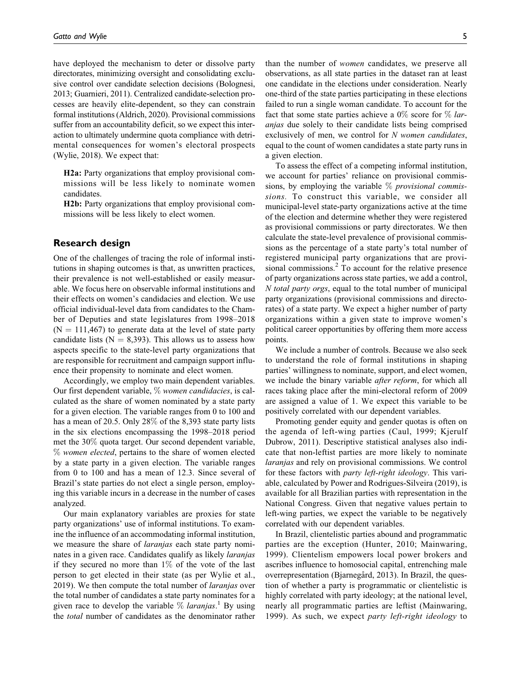have deployed the mechanism to deter or dissolve party directorates, minimizing oversight and consolidating exclusive control over candidate selection decisions (Bolognesi, 2013; Guarnieri, 2011). Centralized candidate-selection processes are heavily elite-dependent, so they can constrain formal institutions (Aldrich, 2020). Provisional commissions suffer from an accountability deficit, so we expect this interaction to ultimately undermine quota compliance with detrimental consequences for women's electoral prospects (Wylie, 2018). We expect that:

H2a: Party organizations that employ provisional commissions will be less likely to nominate women candidates.

H2b: Party organizations that employ provisional commissions will be less likely to elect women.

# **Research design**

One of the challenges of tracing the role of informal institutions in shaping outcomes is that, as unwritten practices, their prevalence is not well-established or easily measurable. We focus here on observable informal institutions and their effects on women's candidacies and election. We use official individual-level data from candidates to the Chamber of Deputies and state legislatures from 1998–2018  $(N = 111,467)$  to generate data at the level of state party candidate lists ( $N = 8,393$ ). This allows us to assess how aspects specific to the state-level party organizations that are responsible for recruitment and campaign support influence their propensity to nominate and elect women.

Accordingly, we employ two main dependent variables. Our first dependent variable, % women candidacies, is calculated as the share of women nominated by a state party for a given election. The variable ranges from 0 to 100 and has a mean of 20.5. Only 28% of the 8,393 state party lists in the six elections encompassing the 1998–2018 period met the 30% quota target. Our second dependent variable, % women elected, pertains to the share of women elected by a state party in a given election. The variable ranges from 0 to 100 and has a mean of 12.3. Since several of Brazil's state parties do not elect a single person, employing this variable incurs in a decrease in the number of cases analyzed.

Our main explanatory variables are proxies for state party organizations' use of informal institutions. To examine the influence of an accommodating informal institution, we measure the share of *laranjas* each state party nominates in a given race. Candidates qualify as likely laranjas if they secured no more than  $1\%$  of the vote of the last person to get elected in their state (as per Wylie et al., 2019). We then compute the total number of laranjas over the total number of candidates a state party nominates for a given race to develop the variable  $\%$  laranjas.<sup>1</sup> By using the total number of candidates as the denominator rather than the number of women candidates, we preserve all observations, as all state parties in the dataset ran at least one candidate in the elections under consideration. Nearly one-third of the state parties participating in these elections failed to run a single woman candidate. To account for the fact that some state parties achieve a  $0\%$  score for  $\%$  laranjas due solely to their candidate lists being comprised exclusively of men, we control for  $N$  women candidates, equal to the count of women candidates a state party runs in a given election.

To assess the effect of a competing informal institution, we account for parties' reliance on provisional commissions, by employing the variable  $%$  *provisional commis*sions. To construct this variable, we consider all municipal-level state-party organizations active at the time of the election and determine whether they were registered as provisional commissions or party directorates. We then calculate the state-level prevalence of provisional commissions as the percentage of a state party's total number of registered municipal party organizations that are provisional commissions.<sup>2</sup> To account for the relative presence of party organizations across state parties, we add a control, N total party orgs, equal to the total number of municipal party organizations (provisional commissions and directorates) of a state party. We expect a higher number of party organizations within a given state to improve women's political career opportunities by offering them more access points.

We include a number of controls. Because we also seek to understand the role of formal institutions in shaping parties' willingness to nominate, support, and elect women, we include the binary variable *after reform*, for which all races taking place after the mini-electoral reform of 2009 are assigned a value of 1. We expect this variable to be positively correlated with our dependent variables.

Promoting gender equity and gender quotas is often on the agenda of left-wing parties (Caul, 1999; Kjerulf Dubrow, 2011). Descriptive statistical analyses also indicate that non-leftist parties are more likely to nominate laranjas and rely on provisional commissions. We control for these factors with party left-right ideology. This variable, calculated by Power and Rodrigues-Silveira (2019), is available for all Brazilian parties with representation in the National Congress. Given that negative values pertain to left-wing parties, we expect the variable to be negatively correlated with our dependent variables.

In Brazil, clientelistic parties abound and programmatic parties are the exception (Hunter, 2010; Mainwaring, 1999). Clientelism empowers local power brokers and ascribes influence to homosocial capital, entrenching male overrepresentation (Bjarnegård, 2013). In Brazil, the question of whether a party is programmatic or clientelistic is highly correlated with party ideology; at the national level, nearly all programmatic parties are leftist (Mainwaring, 1999). As such, we expect party left-right ideology to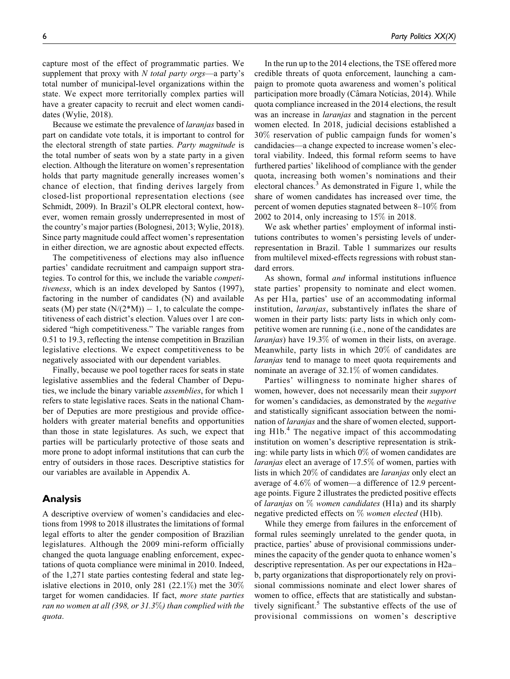capture most of the effect of programmatic parties. We supplement that proxy with  $N$  total party orgs—a party's total number of municipal-level organizations within the state. We expect more territorially complex parties will have a greater capacity to recruit and elect women candidates (Wylie, 2018).

Because we estimate the prevalence of laranjas based in part on candidate vote totals, it is important to control for the electoral strength of state parties. Party magnitude is the total number of seats won by a state party in a given election. Although the literature on women's representation holds that party magnitude generally increases women's chance of election, that finding derives largely from closed-list proportional representation elections (see Schmidt, 2009). In Brazil's OLPR electoral context, however, women remain grossly underrepresented in most of the country's major parties (Bolognesi, 2013; Wylie, 2018). Since party magnitude could affect women's representation in either direction, we are agnostic about expected effects.

The competitiveness of elections may also influence parties' candidate recruitment and campaign support strategies. To control for this, we include the variable competitiveness, which is an index developed by Santos (1997), factoring in the number of candidates (N) and available seats (M) per state  $(N/(2*N)) - 1$ , to calculate the competitiveness of each district's election. Values over 1 are considered "high competitiveness." The variable ranges from 0.51 to 19.3, reflecting the intense competition in Brazilian legislative elections. We expect competitiveness to be negatively associated with our dependent variables.

Finally, because we pool together races for seats in state legislative assemblies and the federal Chamber of Deputies, we include the binary variable assemblies, for which 1 refers to state legislative races. Seats in the national Chamber of Deputies are more prestigious and provide officeholders with greater material benefits and opportunities than those in state legislatures. As such, we expect that parties will be particularly protective of those seats and more prone to adopt informal institutions that can curb the entry of outsiders in those races. Descriptive statistics for our variables are available in Appendix A.

# **Analysis**

A descriptive overview of women's candidacies and elections from 1998 to 2018 illustrates the limitations of formal legal efforts to alter the gender composition of Brazilian legislatures. Although the 2009 mini-reform officially changed the quota language enabling enforcement, expectations of quota compliance were minimal in 2010. Indeed, of the 1,271 state parties contesting federal and state legislative elections in 2010, only 281 (22.1%) met the  $30\%$ target for women candidacies. If fact, more state parties ran no women at all  $(398, or 31.3\%)$  than complied with the quota.

In the run up to the 2014 elections, the TSE offered more credible threats of quota enforcement, launching a campaign to promote quota awareness and women's political participation more broadly (Câmara Notícias, 2014). While quota compliance increased in the 2014 elections, the result was an increase in *laranjas* and stagnation in the percent women elected. In 2018, judicial decisions established a 30% reservation of public campaign funds for women's candidacies—a change expected to increase women's electoral viability. Indeed, this formal reform seems to have furthered parties' likelihood of compliance with the gender quota, increasing both women's nominations and their electoral chances. $3$  As demonstrated in Figure 1, while the share of women candidates has increased over time, the percent of women deputies stagnated between 8–10% from

We ask whether parties' employment of informal institutions contributes to women's persisting levels of underrepresentation in Brazil. Table 1 summarizes our results from multilevel mixed-effects regressions with robust standard errors.

2002 to 2014, only increasing to 15% in 2018.

As shown, formal and informal institutions influence state parties' propensity to nominate and elect women. As per H1a, parties' use of an accommodating informal institution, laranjas, substantively inflates the share of women in their party lists: party lists in which only competitive women are running (i.e., none of the candidates are laranjas) have 19.3% of women in their lists, on average. Meanwhile, party lists in which 20% of candidates are laranjas tend to manage to meet quota requirements and nominate an average of 32.1% of women candidates.

Parties' willingness to nominate higher shares of women, however, does not necessarily mean their support for women's candidacies, as demonstrated by the negative and statistically significant association between the nomination of laranjas and the share of women elected, supporting  $H1b<sup>4</sup>$ . The negative impact of this accommodating institution on women's descriptive representation is striking: while party lists in which  $0\%$  of women candidates are laranjas elect an average of 17.5% of women, parties with lists in which 20% of candidates are laranjas only elect an average of 4.6% of women—a difference of 12.9 percentage points. Figure 2 illustrates the predicted positive effects of laranjas on  $\%$  women candidates (H1a) and its sharply negative predicted effects on  $\%$  women elected (H1b).

While they emerge from failures in the enforcement of formal rules seemingly unrelated to the gender quota, in practice, parties' abuse of provisional commissions undermines the capacity of the gender quota to enhance women's descriptive representation. As per our expectations in H2a– b, party organizations that disproportionately rely on provisional commissions nominate and elect lower shares of women to office, effects that are statistically and substantively significant.<sup>5</sup> The substantive effects of the use of provisional commissions on women's descriptive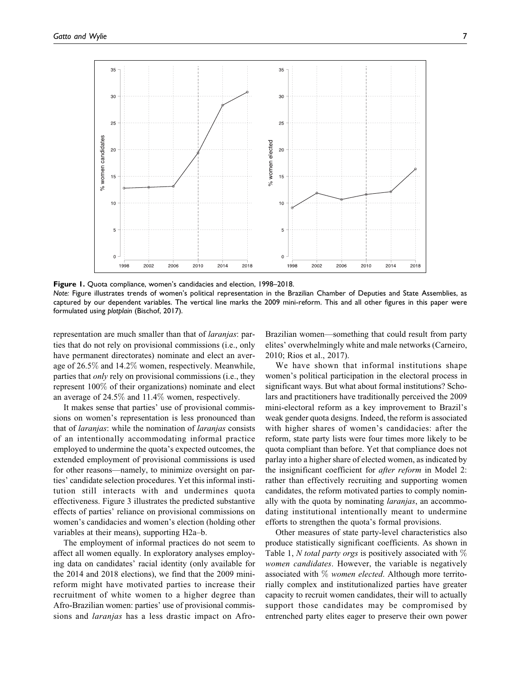

**Figure 1.** Quota compliance, women's candidacies and election, 1998–2018.

*Note:* Figure illustrates trends of women's political representation in the Brazilian Chamber of Deputies and State Assemblies, as captured by our dependent variables. The vertical line marks the 2009 mini-reform. This and all other figures in this paper were formulated using *plotplain* (Bischof, 2017).

representation are much smaller than that of *laranjas*: parties that do not rely on provisional commissions (i.e., only have permanent directorates) nominate and elect an average of 26.5% and 14.2% women, respectively. Meanwhile, parties that only rely on provisional commissions (i.e., they represent 100% of their organizations) nominate and elect an average of 24.5% and 11.4% women, respectively.

It makes sense that parties' use of provisional commissions on women's representation is less pronounced than that of laranjas: while the nomination of laranjas consists of an intentionally accommodating informal practice employed to undermine the quota's expected outcomes, the extended employment of provisional commissions is used for other reasons—namely, to minimize oversight on parties' candidate selection procedures. Yet this informal institution still interacts with and undermines quota effectiveness. Figure 3 illustrates the predicted substantive effects of parties' reliance on provisional commissions on women's candidacies and women's election (holding other variables at their means), supporting H2a–b.

The employment of informal practices do not seem to affect all women equally. In exploratory analyses employing data on candidates' racial identity (only available for the 2014 and 2018 elections), we find that the 2009 minireform might have motivated parties to increase their recruitment of white women to a higher degree than Afro-Brazilian women: parties' use of provisional commissions and laranjas has a less drastic impact on AfroBrazilian women—something that could result from party elites' overwhelmingly white and male networks (Carneiro, 2010; Rios et al., 2017).

We have shown that informal institutions shape women's political participation in the electoral process in significant ways. But what about formal institutions? Scholars and practitioners have traditionally perceived the 2009 mini-electoral reform as a key improvement to Brazil's weak gender quota designs. Indeed, the reform is associated with higher shares of women's candidacies: after the reform, state party lists were four times more likely to be quota compliant than before. Yet that compliance does not parlay into a higher share of elected women, as indicated by the insignificant coefficient for after reform in Model 2: rather than effectively recruiting and supporting women candidates, the reform motivated parties to comply nominally with the quota by nominating *laranjas*, an accommodating institutional intentionally meant to undermine efforts to strengthen the quota's formal provisions.

Other measures of state party-level characteristics also produce statistically significant coefficients. As shown in Table 1, N total party orgs is positively associated with  $\%$ women candidates. However, the variable is negatively associated with  $\%$  women elected. Although more territorially complex and institutionalized parties have greater capacity to recruit women candidates, their will to actually support those candidates may be compromised by entrenched party elites eager to preserve their own power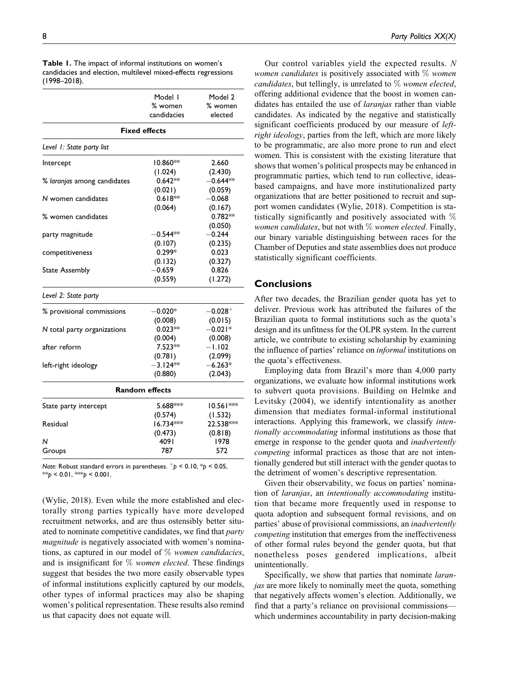| <b>Table 1.</b> The impact of informal institutions on women's |
|----------------------------------------------------------------|
| candidacies and election, multilevel mixed-effects regressions |
| (1998–2018).                                                   |

|                             | Model I<br>% women<br>candidacies | Model 2<br>% women<br>elected |  |
|-----------------------------|-----------------------------------|-------------------------------|--|
| <b>Fixed effects</b>        |                                   |                               |  |
| Level 1: State party list   |                                   |                               |  |
| Intercept                   | $10.860**$                        | 2.660                         |  |
|                             | (1.024)                           | (2.430)                       |  |
| % laranjas among candidates | $0.642**$                         | $-0.644**$                    |  |
|                             | (0.021)                           | (0.059)                       |  |
| N women candidates          | $0.618**$                         | $-0.068$                      |  |
|                             | (0.064)                           | (0.167)                       |  |
| % women candidates          |                                   | $0.782**$                     |  |
|                             |                                   | (0.050)                       |  |
| party magnitude             | $-0.544**$                        | $-0.244$                      |  |
|                             | (0.107)                           | (0.235)                       |  |
| competitiveness             | $0.299*$                          | 0.023                         |  |
|                             | (0.132)                           | (0.327)                       |  |
| <b>State Assembly</b>       | $-0.659$                          | 0.826                         |  |
|                             | (0.559)                           | (1.272)                       |  |
| Level 2: State party        |                                   |                               |  |
| % provisional commissions   | $-0.020*$                         | $-0.028^{+}$                  |  |
|                             | (0.008)                           | (0.015)                       |  |
| N total party organizations | $0.023**$                         | $-0.021*$                     |  |
|                             | (0.004)                           | (0.008)                       |  |
| after reform                | 7.523**                           | $-1.102$                      |  |
|                             | (0.781)                           | (2.099)                       |  |
| left-right ideology         | $-3.124**$                        | $-6.263*$                     |  |
|                             | (0.880)                           | (2.043)                       |  |
|                             | <b>Random effects</b>             |                               |  |
| State party intercept       | 5.688***                          | 10.561***                     |  |
|                             | (0.574)                           | (1.532)                       |  |
| Residual                    | 16.734***                         | 22.538***                     |  |
|                             | (0.473)                           | (0.818)                       |  |
| N                           | 4091                              | 1978                          |  |
| Groups                      | 787                               | 572                           |  |

*Note:* Robust standard errors in parentheses.  $p^+$   $> 0.10$ ,  $p^+$   $> 0.05$ ,  $*$ *s* $p$  < 0.01,  $*$ *s* $p$  < 0.001.

(Wylie, 2018). Even while the more established and electorally strong parties typically have more developed recruitment networks, and are thus ostensibly better situated to nominate competitive candidates, we find that *party* magnitude is negatively associated with women's nominations, as captured in our model of  $\%$  women candidacies, and is insignificant for  $\%$  women elected. These findings suggest that besides the two more easily observable types of informal institutions explicitly captured by our models, other types of informal practices may also be shaping women's political representation. These results also remind us that capacity does not equate will.

Our control variables yield the expected results. N women candidates is positively associated with  $\%$  women candidates, but tellingly, is unrelated to  $\%$  women elected, offering additional evidence that the boost in women candidates has entailed the use of laranjas rather than viable candidates. As indicated by the negative and statistically significant coefficients produced by our measure of leftright ideology, parties from the left, which are more likely to be programmatic, are also more prone to run and elect women. This is consistent with the existing literature that shows that women's political prospects may be enhanced in programmatic parties, which tend to run collective, ideasbased campaigns, and have more institutionalized party organizations that are better positioned to recruit and support women candidates (Wylie, 2018). Competition is statistically significantly and positively associated with % women candidates, but not with  $\%$  women elected. Finally, our binary variable distinguishing between races for the Chamber of Deputies and state assemblies does not produce statistically significant coefficients.

# **Conclusions**

After two decades, the Brazilian gender quota has yet to deliver. Previous work has attributed the failures of the Brazilian quota to formal institutions such as the quota's design and its unfitness for the OLPR system. In the current article, we contribute to existing scholarship by examining the influence of parties' reliance on informal institutions on the quota's effectiveness.

Employing data from Brazil's more than 4,000 party organizations, we evaluate how informal institutions work to subvert quota provisions. Building on Helmke and Levitsky (2004), we identify intentionality as another dimension that mediates formal-informal institutional interactions. Applying this framework, we classify intentionally accommodating informal institutions as those that emerge in response to the gender quota and *inadvertently* competing informal practices as those that are not intentionally gendered but still interact with the gender quotas to the detriment of women's descriptive representation.

Given their observability, we focus on parties' nomination of laranjas, an intentionally accommodating institution that became more frequently used in response to quota adoption and subsequent formal revisions, and on parties' abuse of provisional commissions, an inadvertently competing institution that emerges from the ineffectiveness of other formal rules beyond the gender quota, but that nonetheless poses gendered implications, albeit unintentionally.

Specifically, we show that parties that nominate *laran*jas are more likely to nominally meet the quota, something that negatively affects women's election. Additionally, we find that a party's reliance on provisional commissions which undermines accountability in party decision-making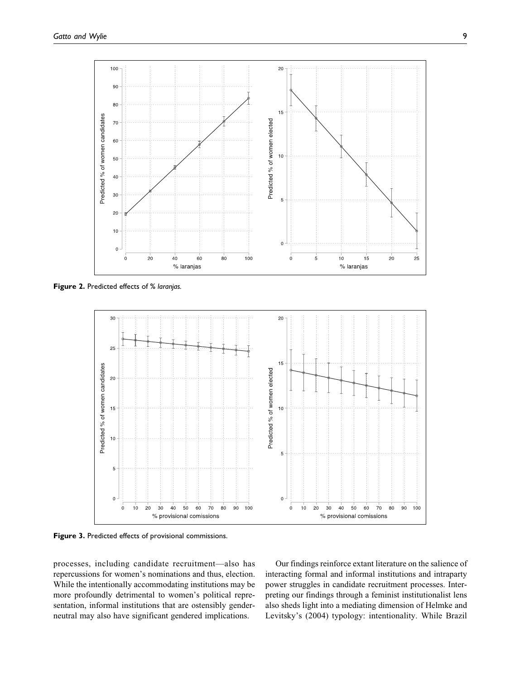

**Figure 2.** Predicted effects of % *laranjas.*



**Figure 3.** Predicted effects of provisional commissions.

processes, including candidate recruitment—also has repercussions for women's nominations and thus, election. While the intentionally accommodating institutions may be more profoundly detrimental to women's political representation, informal institutions that are ostensibly genderneutral may also have significant gendered implications.

Our findings reinforce extant literature on the salience of interacting formal and informal institutions and intraparty power struggles in candidate recruitment processes. Interpreting our findings through a feminist institutionalist lens also sheds light into a mediating dimension of Helmke and Levitsky's (2004) typology: intentionality. While Brazil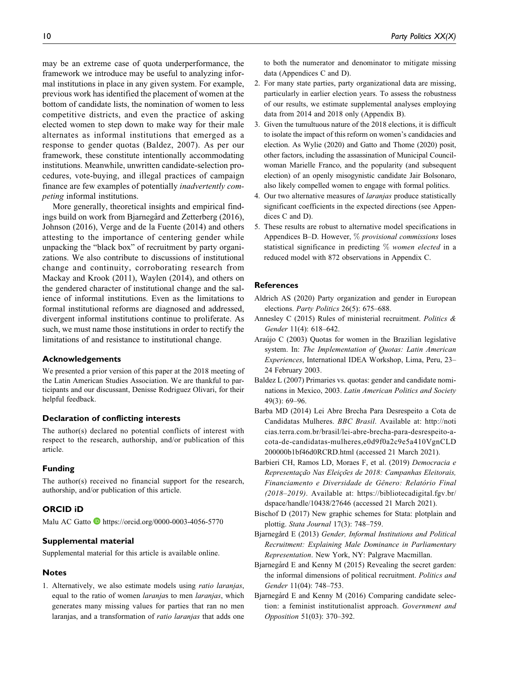may be an extreme case of quota underperformance, the framework we introduce may be useful to analyzing informal institutions in place in any given system. For example, previous work has identified the placement of women at the bottom of candidate lists, the nomination of women to less competitive districts, and even the practice of asking elected women to step down to make way for their male alternates as informal institutions that emerged as a response to gender quotas (Baldez, 2007). As per our framework, these constitute intentionally accommodating institutions. Meanwhile, unwritten candidate-selection procedures, vote-buying, and illegal practices of campaign finance are few examples of potentially inadvertently competing informal institutions.

More generally, theoretical insights and empirical findings build on work from Bjarnegård and Zetterberg (2016), Johnson (2016), Verge and de la Fuente (2014) and others attesting to the importance of centering gender while unpacking the "black box" of recruitment by party organizations. We also contribute to discussions of institutional change and continuity, corroborating research from Mackay and Krook (2011), Waylen (2014), and others on the gendered character of institutional change and the salience of informal institutions. Even as the limitations to formal institutional reforms are diagnosed and addressed, divergent informal institutions continue to proliferate. As such, we must name those institutions in order to rectify the limitations of and resistance to institutional change.

### **Acknowledgements**

We presented a prior version of this paper at the 2018 meeting of the Latin American Studies Association. We are thankful to participants and our discussant, Denisse Rodriguez Olivari, for their helpful feedback.

## **Declaration of conflicting interests**

The author(s) declared no potential conflicts of interest with respect to the research, authorship, and/or publication of this article.

### **Funding**

The author(s) received no financial support for the research, authorship, and/or publication of this article.

### **ORCID iD**

Malu AC Gatto **<https://orcid.org/0000-0003-4056-5770>** 

#### **Supplemental material**

Supplemental material for this article is available online.

### **Notes**

1. Alternatively, we also estimate models using ratio laranjas, equal to the ratio of women laranjas to men laranjas, which generates many missing values for parties that ran no men laranjas, and a transformation of ratio laranjas that adds one to both the numerator and denominator to mitigate missing data (Appendices C and D).

- 2. For many state parties, party organizational data are missing, particularly in earlier election years. To assess the robustness of our results, we estimate supplemental analyses employing data from 2014 and 2018 only (Appendix B).
- 3. Given the tumultuous nature of the 2018 elections, it is difficult to isolate the impact of this reform on women's candidacies and election. As Wylie (2020) and Gatto and Thome (2020) posit, other factors, including the assassination of Municipal Councilwoman Marielle Franco, and the popularity (and subsequent election) of an openly misogynistic candidate Jair Bolsonaro, also likely compelled women to engage with formal politics.
- 4. Our two alternative measures of laranjas produce statistically significant coefficients in the expected directions (see Appendices C and D).
- 5. These results are robust to alternative model specifications in Appendices B–D. However,  $\%$  provisional commissions loses statistical significance in predicting % women elected in a reduced model with 872 observations in Appendix C.

# **References**

- Aldrich AS (2020) Party organization and gender in European elections. Party Politics 26(5): 675–688.
- Annesley C (2015) Rules of ministerial recruitment. Politics & Gender 11(4): 618–642.
- Araújo C (2003) Quotas for women in the Brazilian legislative system. In: The Implementation of Quotas: Latin American Experiences, International IDEA Workshop, Lima, Peru, 23– 24 February 2003.
- Baldez L (2007) Primaries vs. quotas: gender and candidate nominations in Mexico, 2003. Latin American Politics and Society 49(3): 69–96.
- Barba MD (2014) Lei Abre Brecha Para Desrespeito a Cota de Candidatas Mulheres. BBC Brasil. Available at: [http://noti](http://noticias.terra.com.br/brasil/lei-abre-brecha-para-desrespeito-a-cota-de-candidatas-mulheres,e0d9f0a2c9e5a410VgnCLD200000b1bf46d0RCRD.html) [cias.terra.com.br/brasil/lei-abre-brecha-para-desrespeito-a](http://noticias.terra.com.br/brasil/lei-abre-brecha-para-desrespeito-a-cota-de-candidatas-mulheres,e0d9f0a2c9e5a410VgnCLD200000b1bf46d0RCRD.html)[cota-de-candidatas-mulheres,e0d9f0a2c9e5a410VgnCLD](http://noticias.terra.com.br/brasil/lei-abre-brecha-para-desrespeito-a-cota-de-candidatas-mulheres,e0d9f0a2c9e5a410VgnCLD200000b1bf46d0RCRD.html) [200000b1bf46d0RCRD.html](http://noticias.terra.com.br/brasil/lei-abre-brecha-para-desrespeito-a-cota-de-candidatas-mulheres,e0d9f0a2c9e5a410VgnCLD200000b1bf46d0RCRD.html) (accessed 21 March 2021).
- Barbieri CH, Ramos LD, Moraes F, et al. (2019) Democracia e Representação Nas Eleições de 2018: Campanhas Eleitorais, Financiamento e Diversidade de Gênero: Relatório Final (2018–2019). Available at: [https://bibliotecadigital.fgv.br/](https://bibliotecadigital.fgv.br/dspace/handle/10438/27646) [dspace/handle/10438/27646](https://bibliotecadigital.fgv.br/dspace/handle/10438/27646) (accessed 21 March 2021).
- Bischof D (2017) New graphic schemes for Stata: plotplain and plottig. Stata Journal 17(3): 748–759.
- Bjarnegård E (2013) Gender, Informal Institutions and Political Recruitment: Explaining Male Dominance in Parliamentary Representation. New York, NY: Palgrave Macmillan.
- Bjarnegård E and Kenny M (2015) Revealing the secret garden: the informal dimensions of political recruitment. Politics and Gender 11(04): 748–753.
- Bjarnegård E and Kenny M (2016) Comparing candidate selection: a feminist institutionalist approach. Government and Opposition 51(03): 370–392.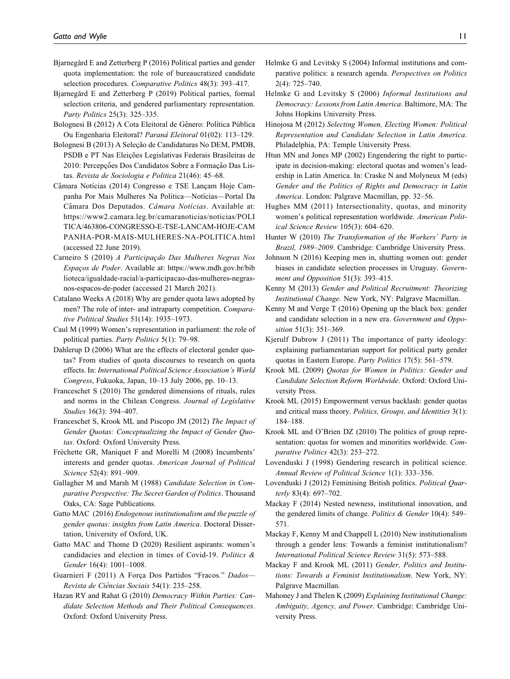- Bjarnegård E and Zetterberg P (2016) Political parties and gender quota implementation: the role of bureaucratized candidate selection procedures. Comparative Politics 48(3): 393–417.
- Bjarnegård E and Zetterberg P (2019) Political parties, formal selection criteria, and gendered parliamentary representation. Party Politics 25(3): 325–335.
- Bolognesi B (2012) A Cota Eleitoral de Gênero: Política Pública Ou Engenharia Eleitoral? Paraná Eleitoral 01(02): 113-129.
- Bolognesi B (2013) A Seleção de Candidaturas No DEM, PMDB, PSDB e PT Nas Eleições Legislativas Federais Brasileiras de 2010: Percepções Dos Candidatos Sobre a Formação Das Listas. Revista de Sociologia e Politica 21(46): 45–68.
- Câmara Notícias (2014) Congresso e TSE Lancam Hoje Campanha Por Mais Mulheres Na Política—Notícias—Portal Da Câmara Dos Deputados. Câmara Notícias. Available at: [https://www2.camara.leg.br/camaranoticias/noticias/POLI](https://www2.camara.leg.br/camaranoticias/noticias/POLITICA/463806-CONGRESSO-E-TSE-LANCAM-HOJE-CAMPANHA-POR-MAIS-MULHERES-NA-POLITICA.html) [TICA/463806-CONGRESSO-E-TSE-LANCAM-HOJE-CAM](https://www2.camara.leg.br/camaranoticias/noticias/POLITICA/463806-CONGRESSO-E-TSE-LANCAM-HOJE-CAMPANHA-POR-MAIS-MULHERES-NA-POLITICA.html) [PANHA-POR-MAIS-MULHERES-NA-POLITICA.html](https://www2.camara.leg.br/camaranoticias/noticias/POLITICA/463806-CONGRESSO-E-TSE-LANCAM-HOJE-CAMPANHA-POR-MAIS-MULHERES-NA-POLITICA.html) (accessed 22 June 2019).
- Carneiro S (2010) A Participação Das Mulheres Negras Nos Espaços de Poder. Available at: [https://www.mdh.gov.br/bib](https://www.mdh.gov.br/biblioteca/igualdade-racial/a-participacao-das-mulheres-negras-nos-espacos-de-poder) [lioteca/igualdade-racial/a-participacao-das-mulheres-negras](https://www.mdh.gov.br/biblioteca/igualdade-racial/a-participacao-das-mulheres-negras-nos-espacos-de-poder)[nos-espacos-de-poder](https://www.mdh.gov.br/biblioteca/igualdade-racial/a-participacao-das-mulheres-negras-nos-espacos-de-poder) (accessed 21 March 2021).
- Catalano Weeks A (2018) Why are gender quota laws adopted by men? The role of inter- and intraparty competition. Comparative Political Studies 51(14): 1935–1973.
- Caul M (1999) Women's representation in parliament: the role of political parties. Party Politics 5(1): 79–98.
- Dahlerup D (2006) What are the effects of electoral gender quotas? From studies of quota discourses to research on quota effects. In: International Political Science Association's World Congress, Fukuoka, Japan, 10–13 July 2006, pp. 10–13.
- Franceschet S (2010) The gendered dimensions of rituals, rules and norms in the Chilean Congress. Journal of Legislative Studies 16(3): 394–407.
- Franceschet S, Krook ML and Piscopo JM (2012) The Impact of Gender Quotas: Conceptualizing the Impact of Gender Quotas. Oxford: Oxford University Press.
- Fréchette GR, Maniquet F and Morelli M (2008) Incumbents' interests and gender quotas. American Journal of Political Science 52(4): 891–909.
- Gallagher M and Marsh M (1988) Candidate Selection in Comparative Perspective: The Secret Garden of Politics. Thousand Oaks, CA: Sage Publications.
- Gatto MAC (2016) Endogenous institutionalism and the puzzle of gender quotas: insights from Latin America. Doctoral Dissertation, University of Oxford, UK.
- Gatto MAC and Thome D (2020) Resilient aspirants: women's candidacies and election in times of Covid-19. Politics & Gender 16(4): 1001–1008.
- Guarnieri F (2011) A Forca Dos Partidos "Fracos." Dados-Revista de Ciências Sociais 54(1): 235-258.
- Hazan RY and Rahat G (2010) Democracy Within Parties: Candidate Selection Methods and Their Political Consequences. Oxford: Oxford University Press.
- Helmke G and Levitsky S (2004) Informal institutions and comparative politics: a research agenda. Perspectives on Politics 2(4): 725–740.
- Helmke G and Levitsky S (2006) Informal Institutions and Democracy: Lessons from Latin America. Baltimore, MA: The Johns Hopkins University Press.
- Hinojosa M (2012) Selecting Women, Electing Women: Political Representation and Candidate Selection in Latin America. Philadelphia, PA: Temple University Press.
- Htun MN and Jones MP (2002) Engendering the right to participate in decision-making: electoral quotas and women's leadership in Latin America. In: Craske N and Molyneux M (eds) Gender and the Politics of Rights and Democracy in Latin America. London: Palgrave Macmillan, pp. 32–56.
- Hughes MM (2011) Intersectionality, quotas, and minority women's political representation worldwide. American Political Science Review 105(3): 604–620.
- Hunter W (2010) The Transformation of the Workers' Party in Brazil, 1989–2009. Cambridge: Cambridge University Press.
- Johnson N (2016) Keeping men in, shutting women out: gender biases in candidate selection processes in Uruguay. Government and Opposition 51(3): 393-415.
- Kenny M (2013) Gender and Political Recruitment: Theorizing Institutional Change. New York, NY: Palgrave Macmillan.
- Kenny M and Verge T (2016) Opening up the black box: gender and candidate selection in a new era. Government and Opposition 51(3): 351–369.
- Kjerulf Dubrow J (2011) The importance of party ideology: explaining parliamentarian support for political party gender quotas in Eastern Europe. Party Politics 17(5): 561–579.
- Krook ML (2009) Quotas for Women in Politics: Gender and Candidate Selection Reform Worldwide. Oxford: Oxford University Press.
- Krook ML (2015) Empowerment versus backlash: gender quotas and critical mass theory. Politics, Groups, and Identities 3(1): 184–188.
- Krook ML and O'Brien DZ (2010) The politics of group representation: quotas for women and minorities worldwide. Comparative Politics 42(3): 253–272.
- Lovenduski J (1998) Gendering research in political science. Annual Review of Political Science 1(1): 333–356.
- Lovenduski J (2012) Feminising British politics. Political Quarterly 83(4): 697–702.
- Mackay F (2014) Nested newness, institutional innovation, and the gendered limits of change. Politics & Gender 10(4): 549-571.
- Mackay F, Kenny M and Chappell L (2010) New institutionalism through a gender lens: Towards a feminist institutionalism? International Political Science Review 31(5): 573–588.
- Mackay F and Krook ML (2011) Gender, Politics and Institutions: Towards a Feminist Institutionalism. New York, NY: Palgrave Macmillan.
- Mahoney J and Thelen K (2009) Explaining Institutional Change: Ambiguity, Agency, and Power. Cambridge: Cambridge University Press.